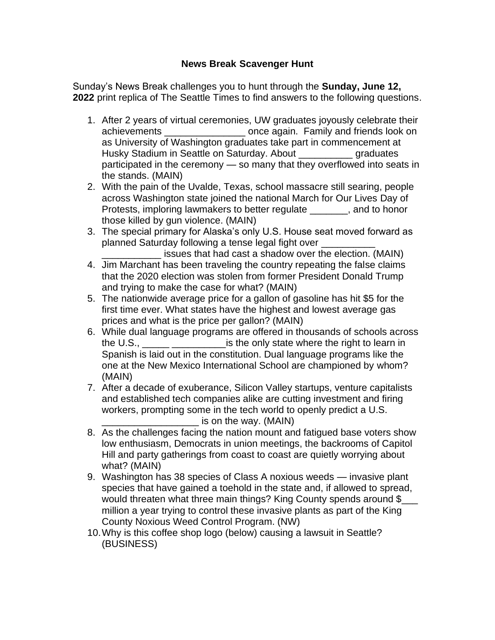## **News Break Scavenger Hunt**

Sunday's News Break challenges you to hunt through the **Sunday, June 12, 2022** print replica of The Seattle Times to find answers to the following questions.

- 1. After 2 years of virtual ceremonies, UW graduates joyously celebrate their achievements \_\_\_\_\_\_\_\_\_\_\_\_\_\_\_ once again. Family and friends look on as University of Washington graduates take part in commencement at Husky Stadium in Seattle on Saturday. About \_\_\_\_\_\_\_\_\_\_ graduates participated in the ceremony — so many that they overflowed into seats in the stands. (MAIN)
- 2. With the pain of the Uvalde, Texas, school massacre still searing, people across Washington state joined the national March for Our Lives Day of Protests, imploring lawmakers to better regulate \_\_\_\_\_\_\_, and to honor those killed by gun violence. (MAIN)
- 3. The special primary for Alaska's only U.S. House seat moved forward as planned Saturday following a tense legal fight over \_\_\_\_\_\_\_\_\_\_
	- issues that had cast a shadow over the election. (MAIN)
- 4. Jim Marchant has been traveling the country repeating the false claims that the 2020 election was stolen from former President Donald Trump and trying to make the case for what? (MAIN)
- 5. The nationwide average price for a gallon of gasoline has hit \$5 for the first time ever. What states have the highest and lowest average gas prices and what is the price per gallon? (MAIN)
- 6. While dual language programs are offered in thousands of schools across the U.S.,  $\frac{1}{1}$   $\frac{1}{1}$   $\frac{1}{1}$   $\frac{1}{1}$   $\frac{1}{1}$   $\frac{1}{1}$  is the only state where the right to learn in Spanish is laid out in the constitution. Dual language programs like the one at the New Mexico International School are championed by whom? (MAIN)
- 7. After a decade of exuberance, Silicon Valley startups, venture capitalists and established tech companies alike are cutting investment and firing workers, prompting some in the tech world to openly predict a U.S.  $\_$  is on the way. (MAIN)
- 8. As the challenges facing the nation mount and fatigued base voters show low enthusiasm, Democrats in union meetings, the backrooms of Capitol Hill and party gatherings from coast to coast are quietly worrying about what? (MAIN)
- 9. Washington has 38 species of Class A noxious weeds invasive plant species that have gained a toehold in the state and, if allowed to spread, would threaten what three main things? King County spends around \$ million a year trying to control these invasive plants as part of the King County Noxious Weed Control Program. (NW)
- 10.Why is this coffee shop logo (below) causing a lawsuit in Seattle? (BUSINESS)